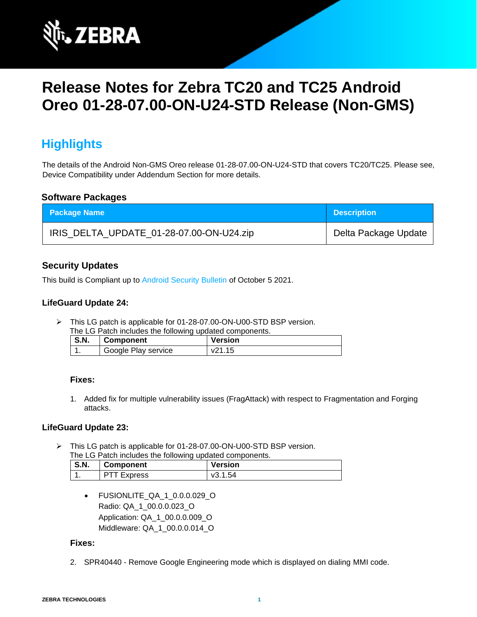

# **Release Notes for Zebra TC20 and TC25 Android Oreo 01-28-07.00-ON-U24-STD Release (Non-GMS)**

# **Highlights**

The details of the Android Non-GMS Oreo release 01-28-07.00-ON-U24-STD that covers TC20/TC25. Please see, Device Compatibility under Addendum Section for more details.

### **Software Packages**

| <b>Package Name</b>                      | <b>Description</b>   |
|------------------------------------------|----------------------|
| IRIS_DELTA_UPDATE_01-28-07.00-ON-U24.zip | Delta Package Update |

# **Security Updates**

This build is Compliant up to [Android Security Bulletin](https://source.android.com/security/bulletin/) of October 5 2021.

### **LifeGuard Update 24:**

➢ This LG patch is applicable for 01-28-07.00-ON-U00-STD BSP version.

| The LG Patch includes the following updated components. |             |                     |                |
|---------------------------------------------------------|-------------|---------------------|----------------|
|                                                         | <b>S.N.</b> | ∣ Component         | <b>Version</b> |
|                                                         |             | Google Play service | v21.15         |

#### **Fixes:**

1. Added fix for multiple vulnerability issues (FragAttack) with respect to Fragmentation and Forging attacks.

#### **LifeGuard Update 23:**

➢ This LG patch is applicable for 01-28-07.00-ON-U00-STD BSP version. The LG Patch includes the following updated components.

| <b>S.N.</b> | <b>Component</b>   | <b>Version</b> |
|-------------|--------------------|----------------|
|             | <b>PTT Express</b> | v3.1.54        |

• FUSIONLITE QA 1 0.0.0.029 O Radio: QA\_1\_00.0.0.023\_O Application: QA\_1\_00.0.0.009\_O Middleware: QA\_1\_00.0.0.014\_O

#### **Fixes:**

2. SPR40440 - Remove Google Engineering mode which is displayed on dialing MMI code.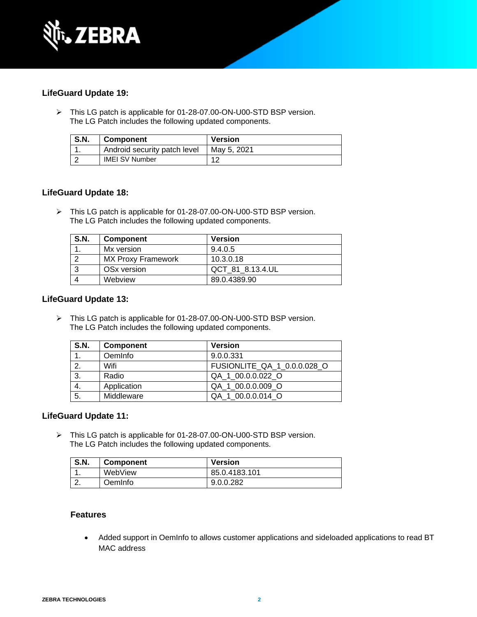

# **LifeGuard Update 19:**

➢ This LG patch is applicable for 01-28-07.00-ON-U00-STD BSP version. The LG Patch includes the following updated components.

| <b>S.N.</b> | <b>Component</b>             | <b>Version</b> |
|-------------|------------------------------|----------------|
|             | Android security patch level | Mav 5. 2021    |
|             | <b>IMEI SV Number</b>        |                |

### **LifeGuard Update 18:**

➢ This LG patch is applicable for 01-28-07.00-ON-U00-STD BSP version. The LG Patch includes the following updated components.

| <b>S.N.</b> | <b>Component</b>          | <b>Version</b>   |
|-------------|---------------------------|------------------|
|             | Mx version                | 9.4.0.5          |
|             | <b>MX Proxy Framework</b> | 10.3.0.18        |
| $\cdot$ 3   | OSx version               | QCT 81 8.13.4.UL |
|             | Webview                   | 89.0.4389.90     |

#### **LifeGuard Update 13:**

➢ This LG patch is applicable for 01-28-07.00-ON-U00-STD BSP version. The LG Patch includes the following updated components.

| <b>S.N.</b> | <b>Component</b> | <b>Version</b>              |
|-------------|------------------|-----------------------------|
| 1.          | OemInfo          | 9.0.0.331                   |
| 2.          | Wifi             | FUSIONLITE QA 1 0.0.0.028 O |
| 3.          | Radio            | QA 1 00.0.0.022 O           |
| 4.          | Application      | QA 1 00.0.0.009 O           |
| 5.          | Middleware       | QA 1_00.0.0.014_O           |

#### **LifeGuard Update 11:**

➢ This LG patch is applicable for 01-28-07.00-ON-U00-STD BSP version. The LG Patch includes the following updated components.

| <b>S.N.</b> | <b>Component</b> | <b>Version</b> |
|-------------|------------------|----------------|
| . .         | WebView          | 85.0.4183.101  |
| <u>.</u>    | OemInfo          | 9.0.0.282      |

# **Features**

• Added support in OemInfo to allows customer applications and sideloaded applications to read BT MAC address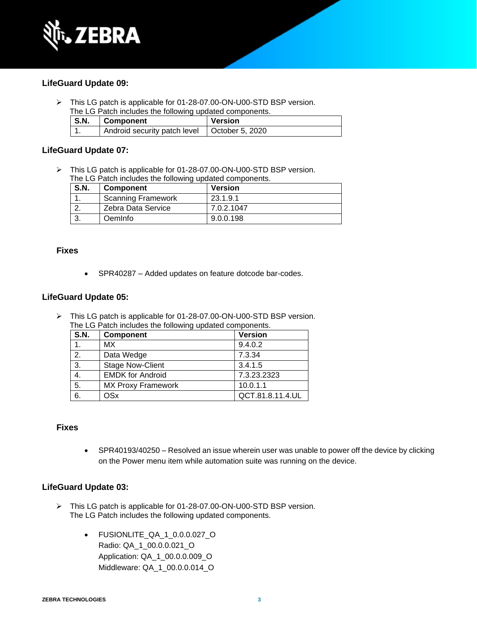

### **LifeGuard Update 09:**

➢ This LG patch is applicable for 01-28-07.00-ON-U00-STD BSP version. The LG Patch includes the following updated components.

| S.N. | <b>Component</b>             | <b>Version</b>  |
|------|------------------------------|-----------------|
|      | Android security patch level | October 5, 2020 |

### **LifeGuard Update 07:**

➢ This LG patch is applicable for 01-28-07.00-ON-U00-STD BSP version. The LG Patch includes the following updated components.

| <b>S.N.</b> | <b>Component</b>          | <b>Version</b> |
|-------------|---------------------------|----------------|
|             | <b>Scanning Framework</b> | 23.1.9.1       |
|             | Zebra Data Service        | 7.0.2.1047     |
|             | OemInfo                   | 9.0.0.198      |

#### **Fixes**

• SPR40287 – Added updates on feature dotcode bar-codes.

#### **LifeGuard Update 05:**

➢ This LG patch is applicable for 01-28-07.00-ON-U00-STD BSP version. The LG Patch includes the following updated components.

| <b>S.N.</b>      | Component                 | <b>Version</b>   |
|------------------|---------------------------|------------------|
| 1.               | МX                        | 9.4.0.2          |
| $\overline{2}$ . | Data Wedge                | 7.3.34           |
| $\overline{3}$ . | <b>Stage Now-Client</b>   | 3.4.1.5          |
| 4.               | <b>EMDK for Android</b>   | 7.3.23.2323      |
| $\overline{5}$ . | <b>MX Proxy Framework</b> | 10.0.1.1         |
| 6.               | <b>OSx</b>                | QCT.81.8.11.4.UL |

#### **Fixes**

• SPR40193/40250 – Resolved an issue wherein user was unable to power off the device by clicking on the Power menu item while automation suite was running on the device.

#### **LifeGuard Update 03:**

- ➢ This LG patch is applicable for 01-28-07.00-ON-U00-STD BSP version. The LG Patch includes the following updated components.
	- FUSIONLITE\_QA\_1\_0.0.0.027\_O Radio: QA\_1\_00.0.0.021\_O Application: QA\_1\_00.0.0.009\_O Middleware: QA\_1\_00.0.0.014\_O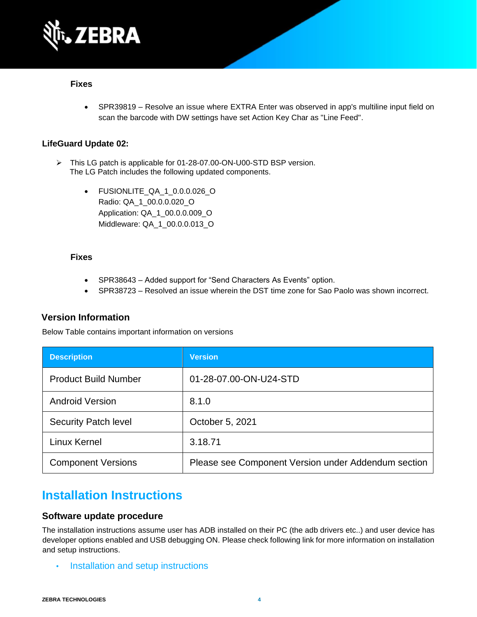

#### **Fixes**

• SPR39819 – Resolve an issue where EXTRA Enter was observed in app's multiline input field on scan the barcode with DW settings have set Action Key Char as "Line Feed".

# **LifeGuard Update 02:**

- ➢ This LG patch is applicable for 01-28-07.00-ON-U00-STD BSP version. The LG Patch includes the following updated components.
	- FUSIONLITE\_QA\_1\_0.0.0.026\_O Radio: QA\_1\_00.0.0.020\_O Application: QA\_1\_00.0.0.009\_O Middleware: QA\_1\_00.0.0.013\_O

#### **Fixes**

- SPR38643 Added support for "Send Characters As Events" option.
- SPR38723 Resolved an issue wherein the DST time zone for Sao Paolo was shown incorrect.

# **Version Information**

Below Table contains important information on versions

| <b>Description</b>          | <b>Version</b>                                      |
|-----------------------------|-----------------------------------------------------|
| <b>Product Build Number</b> | 01-28-07.00-ON-U24-STD                              |
| <b>Android Version</b>      | 8.1.0                                               |
| <b>Security Patch level</b> | October 5, 2021                                     |
| Linux Kernel                | 3.18.71                                             |
| <b>Component Versions</b>   | Please see Component Version under Addendum section |

# **Installation Instructions**

#### **Software update procedure**

The installation instructions assume user has ADB installed on their PC (the adb drivers etc..) and user device has developer options enabled and USB debugging ON. Please check following link for more information on installation and setup instructions.

• [Installation and setup instructions](https://www.zebra.com/content/dam/zebra_new_ia/en-us/software/operating-system/tc20-operating-system/Android-O-OS-Update-TC20-and-TC25-NGMS.pdf)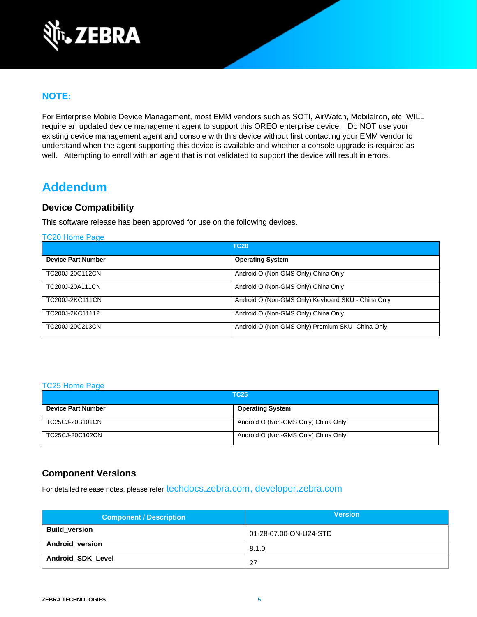

# **NOTE:**

For Enterprise Mobile Device Management, most EMM vendors such as SOTI, AirWatch, MobileIron, etc. WILL require an updated device management agent to support this OREO enterprise device. Do NOT use your existing device management agent and console with this device without first contacting your EMM vendor to understand when the agent supporting this device is available and whether a console upgrade is required as well. Attempting to enroll with an agent that is not validated to support the device will result in errors.

# **Addendum**

# **Device Compatibility**

This software release has been approved for use on the following devices.

[TC20 Home Page](https://www.zebra.com/us/en/support-downloads/software/operating-system/tc20-operating-system-non-gms.html)

|                           | <b>TC20</b>                                        |
|---------------------------|----------------------------------------------------|
| <b>Device Part Number</b> | <b>Operating System</b>                            |
| TC200J-20C112CN           | Android O (Non-GMS Only) China Only                |
| TC200J-20A111CN           | Android O (Non-GMS Only) China Only                |
| TC200J-2KC111CN           | Android O (Non-GMS Only) Keyboard SKU - China Only |
| TC200J-2KC11112           | Android O (Non-GMS Only) China Only                |
| TC200J-20C213CN           | Android O (Non-GMS Only) Premium SKU -China Only   |

#### [TC25 Home Page](https://www.zebra.com/us/en/support-downloads/software/operating-system/tc25-operating-system-non-gms.html)

| <b>TC25</b>               |                                     |
|---------------------------|-------------------------------------|
| <b>Device Part Number</b> | <b>Operating System</b>             |
| TC25CJ-20B101CN           | Android O (Non-GMS Only) China Only |
| TC25CJ-20C102CN           | Android O (Non-GMS Only) China Only |

# **Component Versions**

For detailed release notes, please refer [techdocs.zebra.com,](https://techdocs.zebra.com/) [developer.zebra.com](https://developer.zebra.com/)

| <b>Component / Description</b> | <b>Version</b>         |
|--------------------------------|------------------------|
| <b>Build version</b>           | 01-28-07.00-ON-U24-STD |
| <b>Android_version</b>         | 8.1.0                  |
| Android_SDK_Level              | -27                    |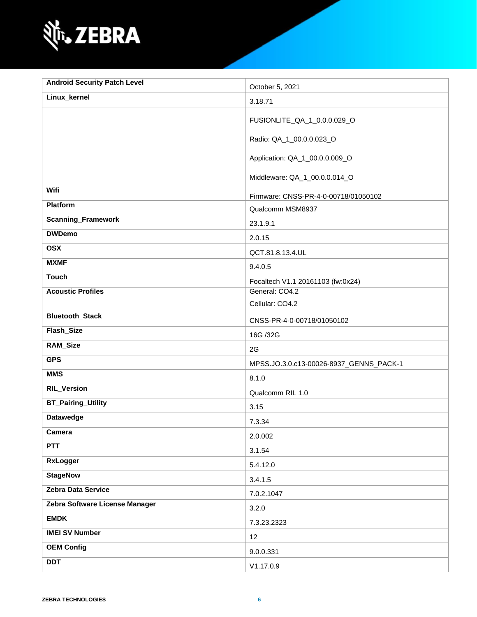

| <b>Android Security Patch Level</b> | October 5, 2021                         |
|-------------------------------------|-----------------------------------------|
| Linux_kernel                        | 3.18.71                                 |
|                                     | FUSIONLITE_QA_1_0.0.0.029_O             |
|                                     | Radio: QA_1_00.0.0.023_O                |
|                                     | Application: QA_1_00.0.0.009_O          |
|                                     | Middleware: QA_1_00.0.0.014_O           |
| Wifi                                | Firmware: CNSS-PR-4-0-00718/01050102    |
| <b>Platform</b>                     | Qualcomm MSM8937                        |
| <b>Scanning_Framework</b>           | 23.1.9.1                                |
| <b>DWDemo</b>                       | 2.0.15                                  |
| <b>OSX</b>                          | QCT.81.8.13.4.UL                        |
| <b>MXMF</b>                         | 9.4.0.5                                 |
| <b>Touch</b>                        | Focaltech V1.1 20161103 (fw:0x24)       |
| <b>Acoustic Profiles</b>            | General: CO4.2                          |
|                                     | Cellular: CO4.2                         |
| <b>Bluetooth_Stack</b>              | CNSS-PR-4-0-00718/01050102              |
| Flash_Size                          | 16G /32G                                |
| RAM_Size                            | 2G                                      |
| <b>GPS</b>                          | MPSS.JO.3.0.c13-00026-8937_GENNS_PACK-1 |
| <b>MMS</b>                          | 8.1.0                                   |
| <b>RIL_Version</b>                  | Qualcomm RIL 1.0                        |
| <b>BT_Pairing_Utility</b>           | 3.15                                    |
| <b>Datawedge</b>                    | 7.3.34                                  |
| Camera                              | 2.0.002                                 |
| <b>PTT</b>                          | 3.1.54                                  |
| <b>RxLogger</b>                     | 5.4.12.0                                |
| <b>StageNow</b>                     | 3.4.1.5                                 |
| Zebra Data Service                  | 7.0.2.1047                              |
| Zebra Software License Manager      | 3.2.0                                   |
| <b>EMDK</b>                         | 7.3.23.2323                             |
| <b>IMEI SV Number</b>               | 12                                      |
| <b>OEM Config</b>                   | 9.0.0.331                               |
| <b>DDT</b>                          | V1.17.0.9                               |